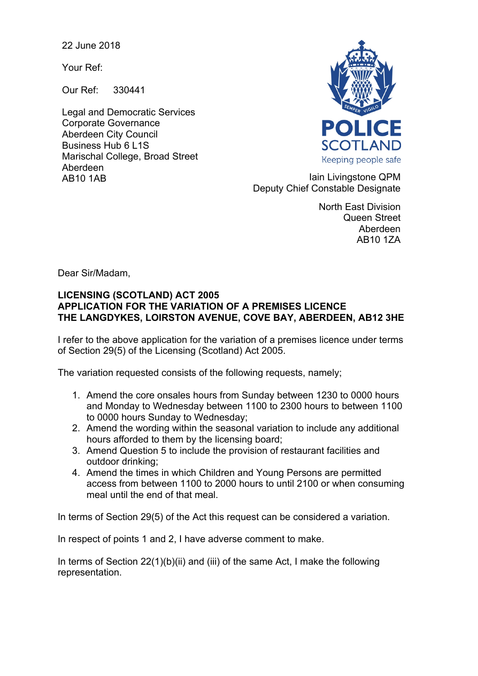22 June 2018

Your Ref:

Our Ref: 330441

Legal and Democratic Services Corporate Governance Aberdeen City Council Business Hub 6 L1S Marischal College, Broad Street Aberdeen



AB10 1AB **Iain Livingstone QPM** Deputy Chief Constable Designate

> North East Division Queen Street Aberdeen AB10 1ZA

Dear Sir/Madam,

## **LICENSING (SCOTLAND) ACT 2005 APPLICATION FOR THE VARIATION OF A PREMISES LICENCE THE LANGDYKES, LOIRSTON AVENUE, COVE BAY, ABERDEEN, AB12 3HE**

I refer to the above application for the variation of a premises licence under terms of Section 29(5) of the Licensing (Scotland) Act 2005.

The variation requested consists of the following requests, namely;

- 1. Amend the core onsales hours from Sunday between 1230 to 0000 hours and Monday to Wednesday between 1100 to 2300 hours to between 1100 to 0000 hours Sunday to Wednesday;
- 2. Amend the wording within the seasonal variation to include any additional hours afforded to them by the licensing board;
- 3. Amend Question 5 to include the provision of restaurant facilities and outdoor drinking;
- 4. Amend the times in which Children and Young Persons are permitted access from between 1100 to 2000 hours to until 2100 or when consuming meal until the end of that meal.

In terms of Section 29(5) of the Act this request can be considered a variation.

In respect of points 1 and 2, I have adverse comment to make.

In terms of Section 22(1)(b)(ii) and (iii) of the same Act, I make the following representation.